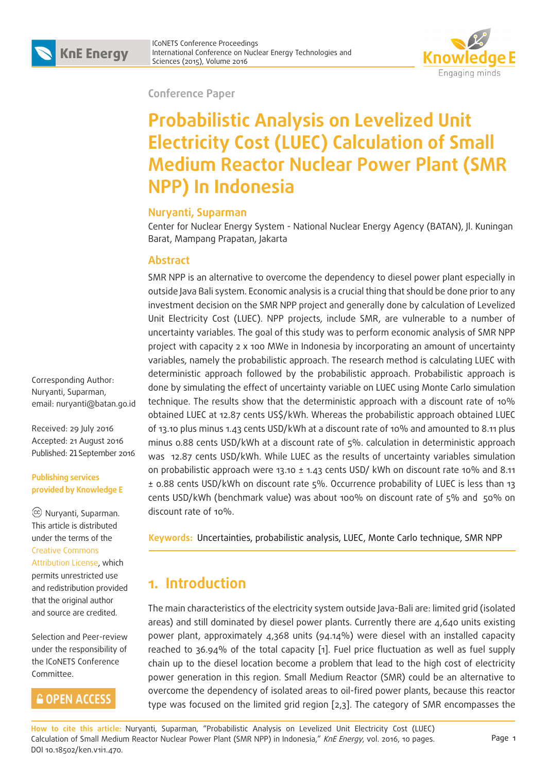



#### **Conference Paper**

# **Probabilistic Analysis on Levelized Unit Electricity Cost (LUEC) Calculation of Small Medium Reactor Nuclear Power Plant (SMR NPP) In Indonesia**

#### **Nuryanti, Suparman**

Center for Nuclear Energy System - National Nuclear Energy Agency (BATAN), Jl. Kuningan Barat, Mampang Prapatan, Jakarta

#### **Abstract**

SMR NPP is an alternative to overcome the dependency to diesel power plant especially in outside Java Bali system. Economic analysis is a crucial thing that should be done prior to any investment decision on the SMR NPP project and generally done by calculation of Levelized Unit Electricity Cost (LUEC). NPP projects, include SMR, are vulnerable to a number of uncertainty variables. The goal of this study was to perform economic analysis of SMR NPP project with capacity 2 x 100 MWe in Indonesia by incorporating an amount of uncertainty variables, namely the probabilistic approach. The research method is calculating LUEC with deterministic approach followed by the probabilistic approach. Probabilistic approach is done by simulating the effect of uncertainty variable on LUEC using Monte Carlo simulation technique. The results show that the deterministic approach with a discount rate of 10% obtained LUEC at 12.87 cents US\$/kWh. Whereas the probabilistic approach obtained LUEC of 13.10 plus minus 1.43 cents USD/kWh at a discount rate of 10% and amounted to 8.11 plus minus 0.88 cents USD/kWh at a discount rate of 5%. calculation in deterministic approach was 12.87 cents USD/kWh. While LUEC as the results of uncertainty variables simulation on probabilistic approach were 13.10  $\pm$  1.43 cents USD/ kWh on discount rate 10% and 8.11 ± 0.88 cents USD/kWh on discount rate 5%. Occurrence probability of LUEC is less than 13 cents USD/kWh (benchmark value) was about 100% on discount rate of 5% and 50% on discount rate of 10%.

**Keywords:** Uncertainties, probabilistic analysis, LUEC, Monte Carlo technique, SMR NPP

### **1. Introduction**

The main characteristics of the electricity system outside Java-Bali are: limited grid (isolated areas) and still dominated by diesel power plants. Currently there are 4,640 units existing power plant, approximately 4,368 units (94.14%) were diesel with an installed capacity reached to 36.94% of the total capacity [1]. Fuel price fluctuation as well as fuel supply chain up to the diesel location become a problem that lead to the high cost of electricity power generation in this region. Small Medium Reactor (SMR) could be an alternative to overcome the dependency of isolated areas to oil-fired power plants, because this reactor type was focused on the limited grid region [2,3]. The category of SMR encompasses the

**How to cite this article:** Nuryanti, Suparman, "Probabilistic Analysis on Levelized Unit Electricity Cost (LUEC) Calculation of Small Medium Reactor Nuclear Power Plant (SMR NPP) in Indonesia," KnE Energy, vol. 2016, 10 pages. DOI 10.18502/ken.v1i1.470.

Corresponding Author: Nuryanti, Suparman, email: nuryanti@batan.go.id

Received: 29 July 2016 Accepted: 21 August 2016 Published: 21 September 2016

#### **Publishing services provided by Knowledge E**

 Nuryanti, Suparman. This article is distributed under the terms of the Creative Commons Attribution License, which permits unrestricted use and redistribution provided that the original author and source are credited.

Selection and Peer-review under the responsibility of the ICoNETS Conference Committee.

### **GOPEN ACCESS**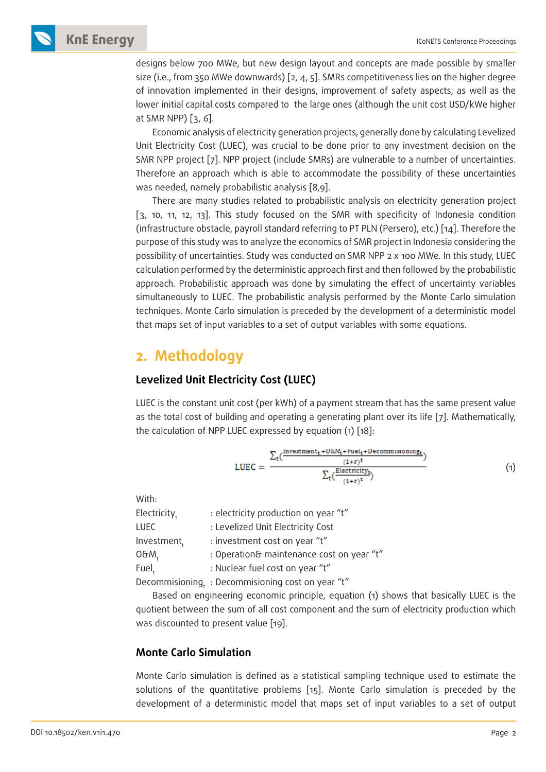**KnE Energy ICONETS Conference Proceedings** 

designs below 700 MWe, but new design layout and concepts are made possible by smaller size (i.e., from 350 MWe downwards) [2, 4, 5]. SMRs competitiveness lies on the higher degree of innovation implemented in their designs, improvement of safety aspects, as well as the lower initial capital costs compared to the large ones (although the unit cost USD/kWe higher at SMR NPP) [3, 6].

Economic analysis of electricity generation projects, generally done by calculating Levelized Unit Electricity Cost (LUEC), was crucial to be done prior to any investment decision on the SMR NPP project [7]. NPP project (include SMRs) are vulnerable to a number of uncertainties. Therefore an approach which is able to accommodate the possibility of these uncertainties was needed, namely probabilistic analysis [8,9].

There are many studies related to probabilistic analysis on electricity generation project [3, 10, 11, 12, 13]. This study focused on the SMR with specificity of Indonesia condition (infrastructure obstacle, payroll standard referring to PT PLN (Persero), etc.) [14]. Therefore the purpose of this study was to analyze the economics of SMR project in Indonesia considering the possibility of uncertainties. Study was conducted on SMR NPP 2 x 100 MWe. In this study, LUEC calculation performed by the deterministic approach first and then followed by the probabilistic approach. Probabilistic approach was done by simulating the effect of uncertainty variables simultaneously to LUEC. The probabilistic analysis performed by the Monte Carlo simulation techniques. Monte Carlo simulation is preceded by the development of a deterministic model that maps set of input variables to a set of output variables with some equations.

### **2. Methodology**

### **Levelized Unit Electricity Cost (LUEC)**

LUEC is the constant unit cost (per kWh) of a payment stream that has the same present value as the total cost of building and operating a generating plant over its life [7]. Mathematically, the calculation of NPP LUEC expressed by equation (1) [18]:

LUEC = 
$$
\frac{\sum_{t}(\frac{Investment_t + U\&M_t + \text{File}_t + \text{Decommsioning}_t}{(1+r)^t})}{\sum_{t}(\frac{\text{Electricity}_t}{(1+r)^t})}
$$
(1)

With:

| Electricity,     | : electricity production on year "t"              |  |
|------------------|---------------------------------------------------|--|
| LUEC             | : Levelized Unit Electricity Cost                 |  |
| Investment,      | : investment cost on year "t"                     |  |
| O&W <sup>+</sup> | : Operation& maintenance cost on year "t"         |  |
| Fuel,            | : Nuclear fuel cost on year "t"                   |  |
|                  | Decommisioning, : Decommisioning cost on year "t" |  |

Based on engineering economic principle, equation (1) shows that basically LUEC is the quotient between the sum of all cost component and the sum of electricity production which was discounted to present value [19].

### **Monte Carlo Simulation**

Monte Carlo simulation is defined as a statistical sampling technique used to estimate the solutions of the quantitative problems [15]. Monte Carlo simulation is preceded by the development of a deterministic model that maps set of input variables to a set of output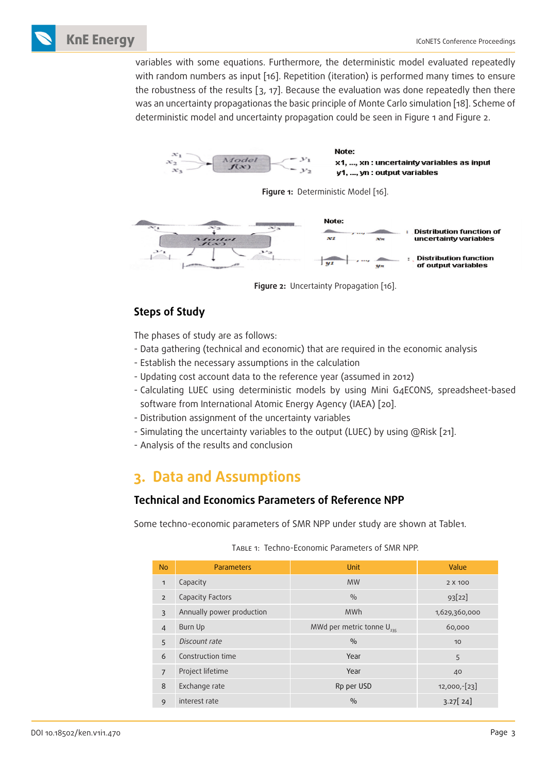

variables with some equations. Furthermore, the deterministic model evaluated repeatedly with random numbers as input [16]. Repetition (iteration) is performed many times to ensure the robustness of the results [3, 17]. Because the evaluation was done repeatedly then there was an uncertainty propagationas the basic principle of Monte Carlo simulation [18]. Scheme of deterministic model and uncertainty propagation could be seen in Figure 1 and Figure 2.







**Figure 2:** Uncertainty Propagation [16].

### **Steps of Study**

The phases of study are as follows:

- Data gathering (technical and economic) that are required in the economic analysis
- Establish the necessary assumptions in the calculation
- Updating cost account data to the reference year (assumed in 2012)
- Calculating LUEC using deterministic models by using Mini G4ECONS, spreadsheet-based software from International Atomic Energy Agency (IAEA) [20].
- Distribution assignment of the uncertainty variables
- Simulating the uncertainty variables to the output (LUEC) by using @Risk [21].
- Analysis of the results and conclusion

## **3. Data and Assumptions**

### **Technical and Economics Parameters of Reference NPP**

Some techno-economic parameters of SMR NPP under study are shown at Table1.

| <b>No</b>      | Parameters                | Unit                           | Value           |
|----------------|---------------------------|--------------------------------|-----------------|
|                |                           |                                |                 |
| $\mathbf{1}$   | Capacity                  | <b>MW</b>                      | 2 X 100         |
| $\overline{2}$ | Capacity Factors          | $\frac{0}{0}$                  | 93[22]          |
| 3              | Annually power production | <b>MWh</b>                     | 1,629,360,000   |
| $\overline{4}$ | Burn Up                   | MWd per metric tonne $U_{235}$ | 60,000          |
| 5              | Discount rate             | $\frac{0}{0}$                  | 10              |
| 6              | Construction time         | Year                           | 5               |
| $\overline{7}$ | Project lifetime          | Year                           | 40              |
| 8              | Exchange rate             | Rp per USD                     | $12,000, -[23]$ |
| 9              | interest rate             | $\frac{0}{0}$                  | 3.27[24]        |

Table 1: Techno-Economic Parameters of SMR NPP.